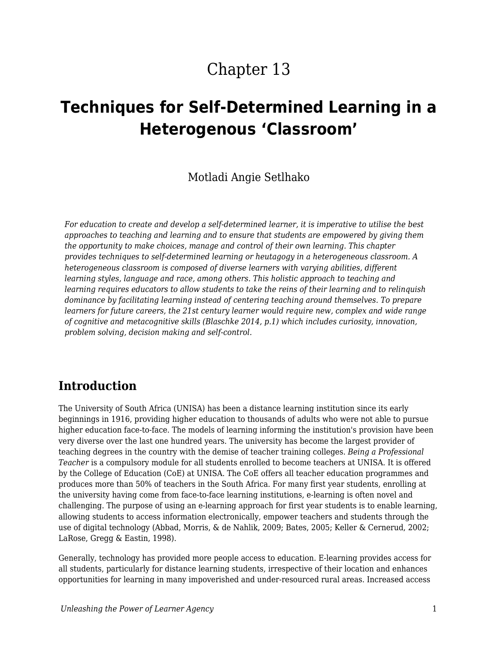# Chapter 13

# **Techniques for Self-Determined Learning in a Heterogenous 'Classroom'**

#### Motladi Angie Setlhako

*For education to create and develop a self-determined learner, it is imperative to utilise the best approaches to teaching and learning and to ensure that students are empowered by giving them the opportunity to make choices, manage and control of their own learning. This chapter provides techniques to self-determined learning or heutagogy in a heterogeneous classroom. A heterogeneous classroom is composed of diverse learners with varying abilities, different learning styles, language and race, among others. This holistic approach to teaching and learning requires educators to allow students to take the reins of their learning and to relinquish dominance by facilitating learning instead of centering teaching around themselves. To prepare learners for future careers, the 21st century learner would require new, complex and wide range of cognitive and metacognitive skills (Blaschke 2014, p.1) which includes curiosity, innovation, problem solving, decision making and self-control.*

#### **Introduction**

The University of South Africa (UNISA) has been a distance learning institution since its early beginnings in 1916, providing higher education to thousands of adults who were not able to pursue higher education face-to-face. The models of learning informing the institution's provision have been very diverse over the last one hundred years. The university has become the largest provider of teaching degrees in the country with the demise of teacher training colleges. *Being a Professional Teacher* is a compulsory module for all students enrolled to become teachers at UNISA. It is offered by the College of Education (CoE) at UNISA. The CoE offers all teacher education programmes and produces more than 50% of teachers in the South Africa. For many first year students, enrolling at the university having come from face-to-face learning institutions, e-learning is often novel and challenging. The purpose of using an e-learning approach for first year students is to enable learning, allowing students to access information electronically, empower teachers and students through the use of digital technology (Abbad, Morris, & de Nahlik, 2009; Bates, 2005; Keller & Cernerud, 2002; LaRose, Gregg & Eastin, 1998).

Generally, technology has provided more people access to education. E-learning provides access for all students, particularly for distance learning students, irrespective of their location and enhances opportunities for learning in many impoverished and under-resourced rural areas. Increased access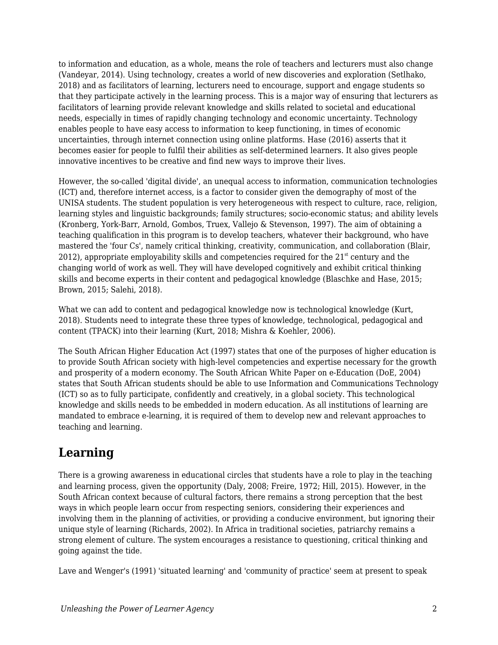to information and education, as a whole, means the role of teachers and lecturers must also change (Vandeyar, 2014). Using technology, creates a world of new discoveries and exploration (Setlhako, 2018) and as facilitators of learning, lecturers need to encourage, support and engage students so that they participate actively in the learning process. This is a major way of ensuring that lecturers as facilitators of learning provide relevant knowledge and skills related to societal and educational needs, especially in times of rapidly changing technology and economic uncertainty. Technology enables people to have easy access to information to keep functioning, in times of economic uncertainties, through internet connection using online platforms. Hase (2016) asserts that it becomes easier for people to fulfil their abilities as self-determined learners. It also gives people innovative incentives to be creative and find new ways to improve their lives.

However, the so-called 'digital divide', an unequal access to information, communication technologies (ICT) and, therefore internet access, is a factor to consider given the demography of most of the UNISA students. The student population is very heterogeneous with respect to culture, race, religion, learning styles and linguistic backgrounds; family structures; socio-economic status; and ability levels (Kronberg, York-Barr, Arnold, Gombos, Truex, Vallejo & Stevenson, 1997). The aim of obtaining a teaching qualification in this program is to develop teachers, whatever their background, who have mastered the 'four Cs', namely critical thinking, creativity, communication, and collaboration (Blair, 2012), appropriate employability skills and competencies required for the  $21<sup>st</sup>$  century and the changing world of work as well. They will have developed cognitively and exhibit critical thinking skills and become experts in their content and pedagogical knowledge (Blaschke and Hase, 2015; Brown, 2015; Salehi, 2018).

What we can add to content and pedagogical knowledge now is technological knowledge (Kurt, 2018). Students need to integrate these three types of knowledge, technological, pedagogical and content (TPACK) into their learning (Kurt, 2018; Mishra & Koehler, 2006).

The South African Higher Education Act (1997) states that one of the purposes of higher education is to provide South African society with high-level competencies and expertise necessary for the growth and prosperity of a modern economy. The South African White Paper on e-Education (DoE, 2004) states that South African students should be able to use Information and Communications Technology (ICT) so as to fully participate, confidently and creatively, in a global society. This technological knowledge and skills needs to be embedded in modern education. As all institutions of learning are mandated to embrace e-learning, it is required of them to develop new and relevant approaches to teaching and learning.

## **Learning**

There is a growing awareness in educational circles that students have a role to play in the teaching and learning process, given the opportunity (Daly, 2008; Freire, 1972; Hill, 2015). However, in the South African context because of cultural factors, there remains a strong perception that the best ways in which people learn occur from respecting seniors, considering their experiences and involving them in the planning of activities, or providing a conducive environment, but ignoring their unique style of learning (Richards, 2002). In Africa in traditional societies, patriarchy remains a strong element of culture. The system encourages a resistance to questioning, critical thinking and going against the tide.

Lave and Wenger's (1991) 'situated learning' and 'community of practice' seem at present to speak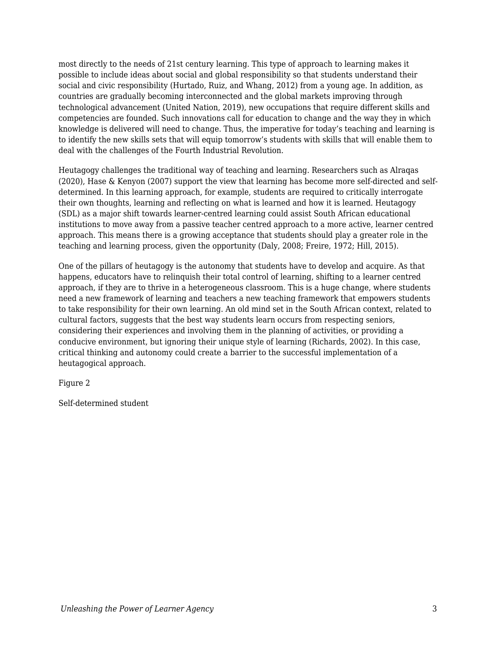most directly to the needs of 21st century learning. This type of approach to learning makes it possible to include ideas about social and global responsibility so that students understand their social and civic responsibility (Hurtado, Ruiz, and Whang, 2012) from a young age. In addition, as countries are gradually becoming interconnected and the global markets improving through technological advancement (United Nation, 2019), new occupations that require different skills and competencies are founded. Such innovations call for education to change and the way they in which knowledge is delivered will need to change. Thus, the imperative for today's teaching and learning is to identify the new skills sets that will equip tomorrow's students with skills that will enable them to deal with the challenges of the Fourth Industrial Revolution.

Heutagogy challenges the traditional way of teaching and learning. Researchers such as Alraqas (2020), Hase & Kenyon (2007) support the view that learning has become more self-directed and selfdetermined. In this learning approach, for example, students are required to critically interrogate their own thoughts, learning and reflecting on what is learned and how it is learned. Heutagogy (SDL) as a major shift towards learner-centred learning could assist South African educational institutions to move away from a passive teacher centred approach to a more active, learner centred approach. This means there is a growing acceptance that students should play a greater role in the teaching and learning process, given the opportunity (Daly, 2008; Freire, 1972; Hill, 2015).

One of the pillars of heutagogy is the autonomy that students have to develop and acquire. As that happens, educators have to relinquish their total control of learning, shifting to a learner centred approach, if they are to thrive in a heterogeneous classroom. This is a huge change, where students need a new framework of learning and teachers a new teaching framework that empowers students to take responsibility for their own learning. An old mind set in the South African context, related to cultural factors, suggests that the best way students learn occurs from respecting seniors, considering their experiences and involving them in the planning of activities, or providing a conducive environment, but ignoring their unique style of learning (Richards, 2002). In this case, critical thinking and autonomy could create a barrier to the successful implementation of a heutagogical approach.

Figure 2

Self-determined student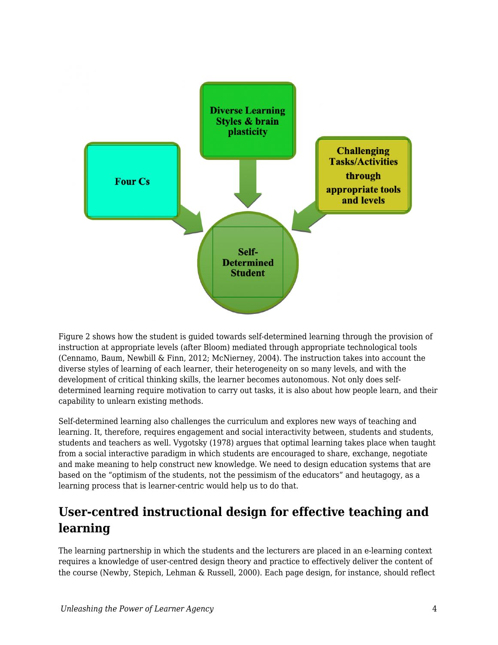

Figure 2 shows how the student is guided towards self-determined learning through the provision of instruction at appropriate levels (after Bloom) mediated through appropriate technological tools (Cennamo, Baum, Newbill & Finn, 2012; McNierney, 2004). The instruction takes into account the diverse styles of learning of each learner, their heterogeneity on so many levels, and with the development of critical thinking skills, the learner becomes autonomous. Not only does selfdetermined learning require motivation to carry out tasks, it is also about how people learn, and their capability to unlearn existing methods.

Self-determined learning also challenges the curriculum and explores new ways of teaching and learning. It, therefore, requires engagement and social interactivity between, students and students, students and teachers as well. Vygotsky (1978) argues that optimal learning takes place when taught from a social interactive paradigm in which students are encouraged to share, exchange, negotiate and make meaning to help construct new knowledge. We need to design education systems that are based on the "optimism of the students, not the pessimism of the educators" and heutagogy, as a learning process that is learner-centric would help us to do that.

## **User-centred instructional design for effective teaching and learning**

The learning partnership in which the students and the lecturers are placed in an e-learning context requires a knowledge of user-centred design theory and practice to effectively deliver the content of the course (Newby, Stepich, Lehman & Russell, 2000). Each page design, for instance, should reflect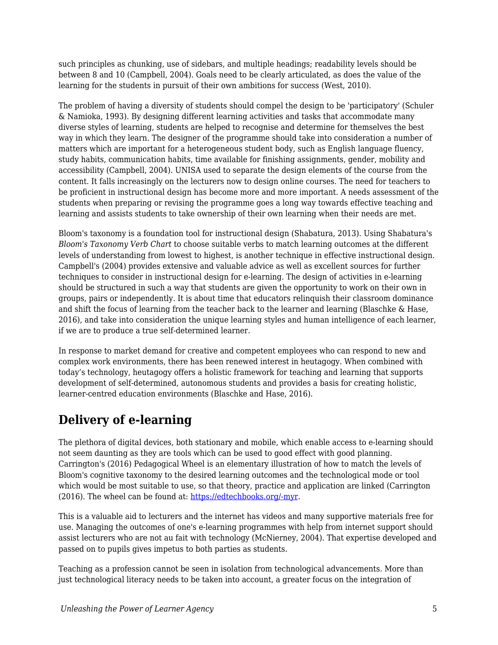such principles as chunking, use of sidebars, and multiple headings; readability levels should be between 8 and 10 (Campbell, 2004). Goals need to be clearly articulated, as does the value of the learning for the students in pursuit of their own ambitions for success (West, 2010).

The problem of having a diversity of students should compel the design to be 'participatory' (Schuler & Namioka, 1993). By designing different learning activities and tasks that accommodate many diverse styles of learning, students are helped to recognise and determine for themselves the best way in which they learn. The designer of the programme should take into consideration a number of matters which are important for a heterogeneous student body, such as English language fluency, study habits, communication habits, time available for finishing assignments, gender, mobility and accessibility (Campbell, 2004). UNISA used to separate the design elements of the course from the content. It falls increasingly on the lecturers now to design online courses. The need for teachers to be proficient in instructional design has become more and more important. A needs assessment of the students when preparing or revising the programme goes a long way towards effective teaching and learning and assists students to take ownership of their own learning when their needs are met.

Bloom's taxonomy is a foundation tool for instructional design (Shabatura, 2013). Using Shabatura's *Bloom's Taxonomy Verb Chart* to choose suitable verbs to match learning outcomes at the different levels of understanding from lowest to highest, is another technique in effective instructional design. Campbell's (2004) provides extensive and valuable advice as well as excellent sources for further techniques to consider in instructional design for e-learning. The design of activities in e-learning should be structured in such a way that students are given the opportunity to work on their own in groups, pairs or independently. It is about time that educators relinquish their classroom dominance and shift the focus of learning from the teacher back to the learner and learning (Blaschke & Hase, 2016), and take into consideration the unique learning styles and human intelligence of each learner, if we are to produce a true self-determined learner.

In response to market demand for creative and competent employees who can respond to new and complex work environments, there has been renewed interest in heutagogy. When combined with today's technology, heutagogy offers a holistic framework for teaching and learning that supports development of self-determined, autonomous students and provides a basis for creating holistic, learner-centred education environments (Blaschke and Hase, 2016).

## **Delivery of e-learning**

The plethora of digital devices, both stationary and mobile, which enable access to e-learning should not seem daunting as they are tools which can be used to good effect with good planning. Carrington's (2016) Pedagogical Wheel is an elementary illustration of how to match the levels of Bloom's cognitive taxonomy to the desired learning outcomes and the technological mode or tool which would be most suitable to use, so that theory, practice and application are linked (Carrington (2016). The wheel can be found at: [https://edtechbooks.org/-myr.](https://educationtechnologysolutions.com/2016/06/padagogy-wheel/)

This is a valuable aid to lecturers and the internet has videos and many supportive materials free for use. Managing the outcomes of one's e-learning programmes with help from internet support should assist lecturers who are not au fait with technology (McNierney, 2004). That expertise developed and passed on to pupils gives impetus to both parties as students.

Teaching as a profession cannot be seen in isolation from technological advancements. More than just technological literacy needs to be taken into account, a greater focus on the integration of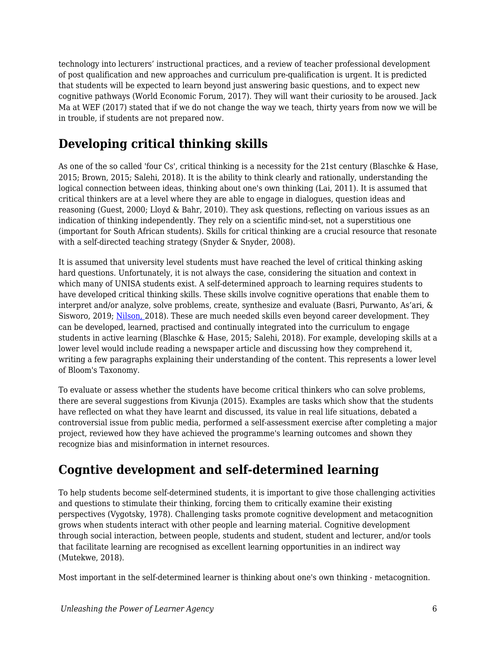technology into lecturers' instructional practices, and a review of teacher professional development of post qualification and new approaches and curriculum pre-qualification is urgent. It is predicted that students will be expected to learn beyond just answering basic questions, and to expect new cognitive pathways (World Economic Forum, 2017). They will want their curiosity to be aroused. Jack Ma at WEF (2017) stated that if we do not change the way we teach, thirty years from now we will be in trouble, if students are not prepared now.

## **Developing critical thinking skills**

As one of the so called 'four Cs', critical thinking is a necessity for the 21st century (Blaschke & Hase, 2015; Brown, 2015; Salehi, 2018). It is the ability to think clearly and rationally, understanding the logical connection between ideas, thinking about one's own thinking (Lai, 2011). It is assumed that critical thinkers are at a level where they are able to engage in dialogues, question ideas and reasoning (Guest, 2000; Lloyd & Bahr, 2010). They ask questions, reflecting on various issues as an indication of thinking independently. They rely on a scientific mind-set, not a superstitious one (important for South African students). Skills for critical thinking are a crucial resource that resonate with a self-directed teaching strategy (Snyder & Snyder, 2008).

It is assumed that university level students must have reached the level of critical thinking asking hard questions. Unfortunately, it is not always the case, considering the situation and context in which many of UNISA students exist. A self-determined approach to learning requires students to have developed critical thinking skills. These skills involve cognitive operations that enable them to interpret and/or analyze, solve problems, create, synthesize and evaluate (Basri, Purwanto, As'ari, & Sisworo, 2019; [Nilson,](https://www.facultyfocus.com/author/linda-b-nilson-phd/) 2018). These are much needed skills even beyond career development. They can be developed, learned, practised and continually integrated into the curriculum to engage students in active learning (Blaschke & Hase, 2015; Salehi, 2018). For example, developing skills at a lower level would include reading a newspaper article and discussing how they comprehend it, writing a few paragraphs explaining their understanding of the content. This represents a lower level of Bloom's Taxonomy.

To evaluate or assess whether the students have become critical thinkers who can solve problems, there are several suggestions from Kivunja (2015). Examples are tasks which show that the students have reflected on what they have learnt and discussed, its value in real life situations, debated a controversial issue from public media, performed a self-assessment exercise after completing a major project, reviewed how they have achieved the programme's learning outcomes and shown they recognize bias and misinformation in internet resources.

## **Cogntive development and self-determined learning**

To help students become self-determined students, it is important to give those challenging activities and questions to stimulate their thinking, forcing them to critically examine their existing perspectives (Vygotsky, 1978). Challenging tasks promote cognitive development and metacognition grows when students interact with other people and learning material. Cognitive development through social interaction, between people, students and student, student and lecturer, and/or tools that facilitate learning are recognised as excellent learning opportunities in an indirect way (Mutekwe, 2018).

Most important in the self-determined learner is thinking about one's own thinking - metacognition.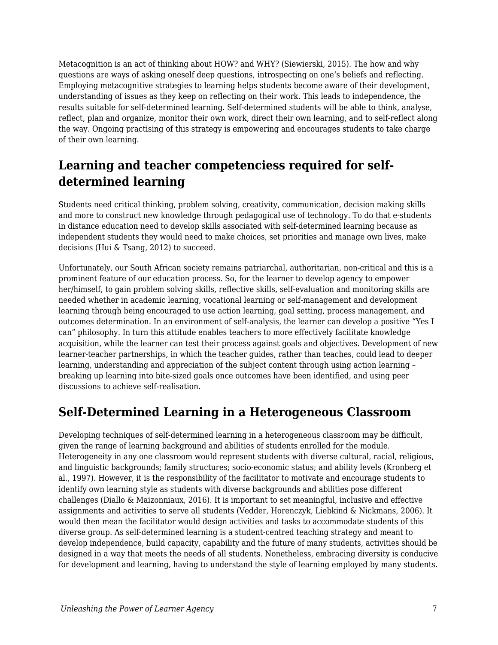Metacognition is an act of thinking about HOW? and WHY? (Siewierski, 2015). The how and why questions are ways of asking oneself deep questions, introspecting on one's beliefs and reflecting. Employing metacognitive strategies to learning helps students become aware of their development, understanding of issues as they keep on reflecting on their work. This leads to independence, the results suitable for self-determined learning. Self-determined students will be able to think, analyse, reflect, plan and organize, monitor their own work, direct their own learning, and to self-reflect along the way. Ongoing practising of this strategy is empowering and encourages students to take charge of their own learning.

## **Learning and teacher competenciess required for selfdetermined learning**

Students need critical thinking, problem solving, creativity, communication, decision making skills and more to construct new knowledge through pedagogical use of technology. To do that e-students in distance education need to develop skills associated with self-determined learning because as independent students they would need to make choices, set priorities and manage own lives, make decisions (Hui & Tsang, 2012) to succeed.

Unfortunately, our South African society remains patriarchal, authoritarian, non-critical and this is a prominent feature of our education process. So, for the learner to develop agency to empower her/himself, to gain problem solving skills, reflective skills, self-evaluation and monitoring skills are needed whether in academic learning, vocational learning or self-management and development learning through being encouraged to use action learning, goal setting, process management, and outcomes determination. In an environment of self-analysis, the learner can develop a positive "Yes I can" philosophy. In turn this attitude enables teachers to more effectively facilitate knowledge acquisition, while the learner can test their process against goals and objectives. Development of new learner-teacher partnerships, in which the teacher guides, rather than teaches, could lead to deeper learning, understanding and appreciation of the subject content through using action learning – breaking up learning into bite-sized goals once outcomes have been identified, and using peer discussions to achieve self-realisation.

#### **Self-Determined Learning in a Heterogeneous Classroom**

Developing techniques of self-determined learning in a heterogeneous classroom may be difficult, given the range of learning background and abilities of students enrolled for the module. Heterogeneity in any one classroom would represent students with diverse cultural, racial, religious, and linguistic backgrounds; family structures; socio-economic status; and ability levels (Kronberg et al., 1997). However, it is the responsibility of the facilitator to motivate and encourage students to identify own learning style as students with diverse backgrounds and abilities pose different challenges (Diallo & Maizonniaux, 2016). It is important to set meaningful, inclusive and effective assignments and activities to serve all students (Vedder, Horenczyk, Liebkind & Nickmans, 2006). It would then mean the facilitator would design activities and tasks to accommodate students of this diverse group. As self-determined learning is a student-centred teaching strategy and meant to develop independence, build capacity, capability and the future of many students, activities should be designed in a way that meets the needs of all students. Nonetheless, embracing diversity is conducive for development and learning, having to understand the style of learning employed by many students.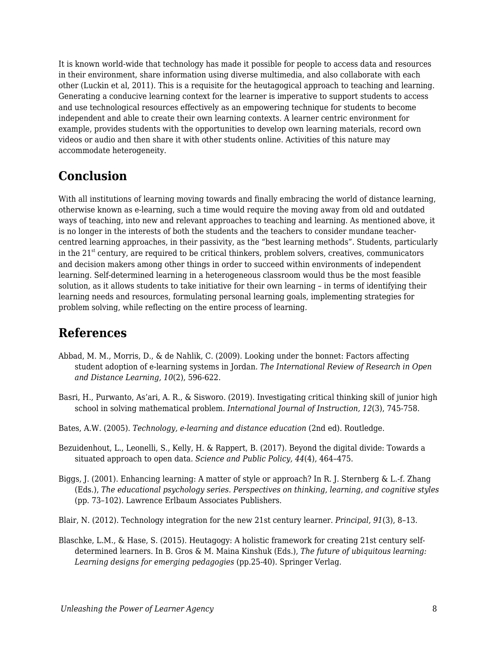It is known world-wide that technology has made it possible for people to access data and resources in their environment, share information using diverse multimedia, and also collaborate with each other (Luckin et al, 2011). This is a requisite for the heutagogical approach to teaching and learning. Generating a conducive learning context for the learner is imperative to support students to access and use technological resources effectively as an empowering technique for students to become independent and able to create their own learning contexts. A learner centric environment for example, provides students with the opportunities to develop own learning materials, record own videos or audio and then share it with other students online. Activities of this nature may accommodate heterogeneity.

#### **Conclusion**

With all institutions of learning moving towards and finally embracing the world of distance learning, otherwise known as e-learning, such a time would require the moving away from old and outdated ways of teaching, into new and relevant approaches to teaching and learning. As mentioned above, it is no longer in the interests of both the students and the teachers to consider mundane teachercentred learning approaches, in their passivity, as the "best learning methods". Students, particularly in the  $21<sup>st</sup>$  century, are required to be critical thinkers, problem solvers, creatives, communicators and decision makers among other things in order to succeed within environments of independent learning. Self-determined learning in a heterogeneous classroom would thus be the most feasible solution, as it allows students to take initiative for their own learning – in terms of identifying their learning needs and resources, formulating personal learning goals, implementing strategies for problem solving, while reflecting on the entire process of learning.

#### **References**

- Abbad, M. M., Morris, D., & de Nahlik, C. (2009). Looking under the bonnet: Factors affecting student adoption of e-learning systems in Jordan. *The International Review of Research in Open and Distance Learning, 10*(2), 596-622.
- Basri, H., Purwanto, As'ari, A. R., & Sisworo. (2019). Investigating critical thinking skill of junior high school in solving mathematical problem. *International Journal of Instruction, 12*(3), 745-758.
- Bates, A.W. (2005). *Technology, e-learning and distance education* (2nd ed). Routledge.
- Bezuidenhout, L., Leonelli, S., Kelly, H. & Rappert, B. (2017). Beyond the digital divide: Towards a situated approach to open data. *Science and Public Policy, 44*(4), 464–475.
- Biggs, J. (2001). Enhancing learning: A matter of style or approach? In R. J. Sternberg & L.-f. Zhang (Eds.), *The educational psychology series. Perspectives on thinking, learning, and cognitive styles* (pp. 73–102). Lawrence Erlbaum Associates Publishers.
- Blair, N. (2012). Technology integration for the new 21st century learner. *Principal, 91*(3), 8–13.
- Blaschke, L.M., & Hase, S. (2015). Heutagogy: A holistic framework for creating 21st century selfdetermined learners. In B. Gros & M. Maina Kinshuk (Eds.), *The future of ubiquitous learning: Learning designs for emerging pedagogies* (pp.25-40). Springer Verlag.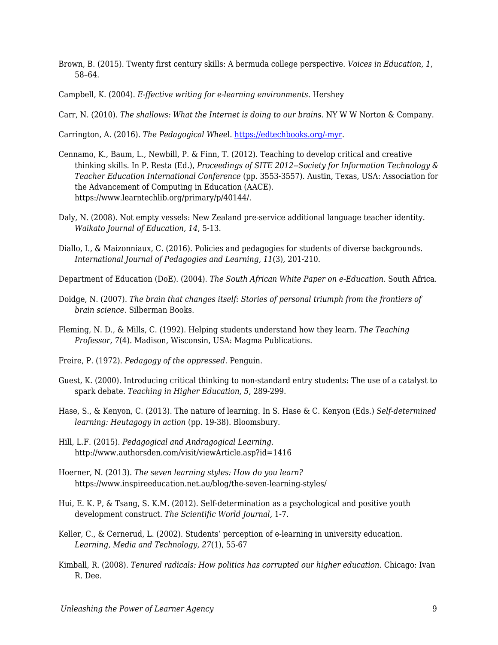- Brown, B. (2015). Twenty first century skills: A bermuda college perspective. *Voices in Education, 1*, 58–64.
- Campbell, K. (2004). *E-ffective writing for e-learning environments*. Hershey
- Carr, N. (2010). *The shallows: What the Internet is doing to our brains*. NY W W Norton & Company.
- Carrington, A. (2016). *The Pedagogical Whee*l. [https://edtechbooks.org/-myr.](https://educationtechnologysolutions.com/2016/06/padagogy-wheel/)
- Cennamo, K., Baum, L., Newbill, P. & Finn, T. (2012). Teaching to develop critical and creative thinking skills. In P. Resta (Ed.), *Proceedings of SITE 2012--Society for Information Technology & Teacher Education International Conference* (pp. 3553-3557). Austin, Texas, USA: Association for the Advancement of Computing in Education (AACE). https://www.learntechlib.org/primary/p/40144/.
- Daly, N. (2008). Not empty vessels: New Zealand pre-service additional language teacher identity. *Waikato Journal of Education, 14*, 5-13.
- Diallo, I., & Maizonniaux, C. (2016). Policies and pedagogies for students of diverse backgrounds. *International Journal of Pedagogies and Learning, 11*(3), 201-210.
- Department of Education (DoE). (2004). *The South African White Paper on e-Education*. South Africa.
- Doidge, N. (2007). *The brain that changes itself: Stories of personal triumph from the frontiers of brain science*. Silberman Books.
- Fleming, N. D., & Mills, C. (1992). Helping students understand how they learn. *The Teaching Professor, 7*(4). Madison, Wisconsin, USA: Magma Publications.
- Freire, P. (1972). *Pedagogy of the oppressed.* Penguin.
- Guest, K. (2000). Introducing critical thinking to non-standard entry students: The use of a catalyst to spark debate. *Teaching in Higher Education, 5*, 289-299.
- Hase, S., & Kenyon, C. (2013). The nature of learning. In S. Hase & C. Kenyon (Eds.) *Self-determined learning: Heutagogy in action* (pp. 19-38). Bloomsbury.
- Hill, L.F. (2015). *Pedagogical and Andragogical Learning*. http://www.authorsden.com/visit/viewArticle.asp?id=1416
- Hoerner, N. (2013). *The seven learning styles: How do you learn?* https://www.inspireeducation.net.au/blog/the-seven-learning-styles/
- Hui, E. K. P, & Tsang, S. K.M. (2012). Self-determination as a psychological and positive youth development construct. *The Scientific World Journal,* 1-7.
- Keller, C., & Cernerud, L. (2002). Students' perception of e-learning in university education. *Learning, Media and Technology, 27*(1), 55-67
- Kimball, R. (2008). *Tenured radicals: How politics has corrupted our higher education*. Chicago: Ivan R. Dee.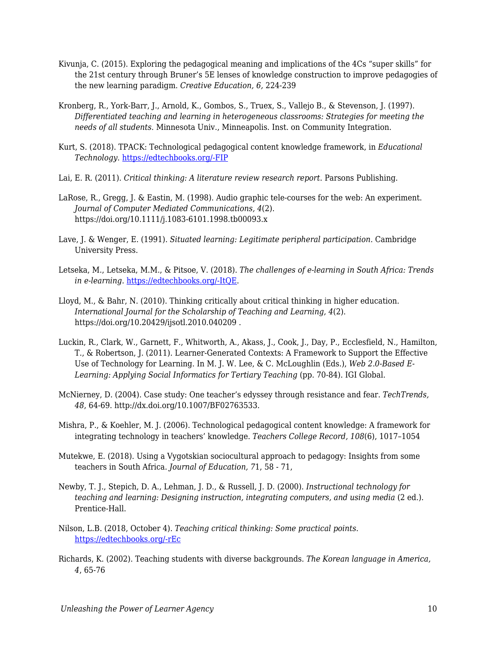- Kivunja, C. (2015). Exploring the pedagogical meaning and implications of the 4Cs "super skills" for the 21st century through Bruner's 5E lenses of knowledge construction to improve pedagogies of the new learning paradigm. *Creative Education, 6,* 224-239
- Kronberg, R., York-Barr, J., Arnold, K., Gombos, S., Truex, S., Vallejo B., & Stevenson, J. (1997). *Differentiated teaching and learning in heterogeneous classrooms: Strategies for meeting the needs of all students*. Minnesota Univ., Minneapolis. Inst. on Community Integration.
- Kurt, S. (2018). TPACK: Technological pedagogical content knowledge framework, in *Educational Technology*. [https://edtechbooks.org/-FIP](https://educationaltechnology.net/technological-pedagogical-content-knowledge-tpack-framework/)
- Lai, E. R. (2011). *Critical thinking: A literature review research report*. Parsons Publishing.
- LaRose, R., Gregg, J. & Eastin, M. (1998). Audio graphic tele-courses for the web: An experiment. *Journal of Computer Mediated Communications, 4*(2). https://doi.org/10.1111/j.1083-6101.1998.tb00093.x
- Lave, J. & Wenger, E. (1991). *Situated learning: Legitimate peripheral participation*. Cambridge University Press.
- Letseka, M., Letseka, M.M., & Pitsoe, V. (2018). *The challenges of e-learning in South Africa: Trends in e-learning*. [https://edtechbooks.org/-ItQE](https://www.intechopen.com/books/trends-in-e-learning/the-challenges-of-e-learning-in-south-africa).
- Lloyd, M., & Bahr, N. (2010). Thinking critically about critical thinking in higher education. *International Journal for the Scholarship of Teaching and Learning, 4*(2). https://doi.org/10.20429/ijsotl.2010.040209 .
- Luckin, R., Clark, W., Garnett, F., Whitworth, A., Akass, J., Cook, J., Day, P., Ecclesfield, N., Hamilton, T., & Robertson, J. (2011). Learner-Generated Contexts: A Framework to Support the Effective Use of Technology for Learning. In M. J. W. Lee, & C. McLoughlin (Eds.), *Web 2.0-Based E-*Learning: Applying Social Informatics for Tertiary Teaching (pp. 70-84). IGI Global.
- McNierney, D. (2004). Case study: One teacher's edyssey through resistance and fear. *TechTrends, 48*, 64-69. http://dx.doi.org/10.1007/BF02763533.
- Mishra, P., & Koehler, M. J. (2006). Technological pedagogical content knowledge: A framework for integrating technology in teachers' knowledge. *Teachers College Record, 108*(6), 1017–1054
- Mutekwe, E. (2018). Using a Vygotskian sociocultural approach to pedagogy: Insights from some teachers in South Africa. *Journal of Education, 7*1, 58 - 71,
- Newby, T. J., Stepich, D. A., Lehman, J. D., & Russell, J. D. (2000). *Instructional technology for teaching and learning: Designing instruction, integrating computers, and using media* (2 ed.). Prentice-Hall.
- Nilson, L.B. (2018, October 4). *Teaching critical thinking: Some practical points*. [https://edtechbooks.org/-rEc](https://www.facultyfocus.com/articles/effective-teaching-strategies/teaching-critical-thinking-practical-points/)
- Richards, K. (2002). Teaching students with diverse backgrounds. *The Korean language in America, 4*, 65-76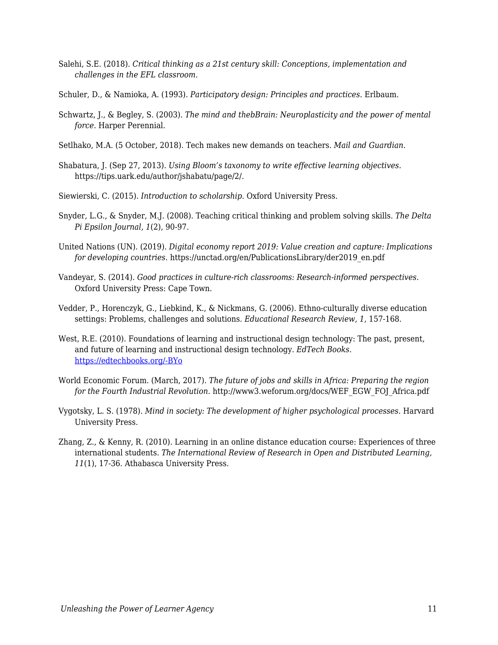- Salehi, S.E. (2018). *Critical thinking as a 21st century skill: Conceptions, implementation and challenges in the EFL classroom.*
- Schuler, D., & Namioka, A. (1993). *Participatory design: Principles and practices*. Erlbaum.
- Schwartz, J., & Begley, S. (2003). *The mind and thebBrain: Neuroplasticity and the power of mental force*. Harper Perennial.
- Setlhako, M.A. (5 October, 2018). Tech makes new demands on teachers. *Mail and Guardian*.
- Shabatura, J. (Sep 27, 2013). *Using Bloom's taxonomy to write effective learning objectives.* https://tips.uark.edu/author/jshabatu/page/2/.
- Siewierski, C. (2015). *Introduction to scholarship*. Oxford University Press.
- Snyder, L.G., & Snyder, M.J. (2008). Teaching critical thinking and problem solving skills. *The Delta Pi Epsilon Journal, 1*(2), 90-97.
- United Nations (UN). (2019). *Digital economy report 2019: Value creation and capture: Implications for developing countries*. https://unctad.org/en/PublicationsLibrary/der2019\_en.pdf
- Vandeyar, S. (2014). *Good practices in culture-rich classrooms: Research-informed perspectives*. Oxford University Press: Cape Town.
- Vedder, P., Horenczyk, G., Liebkind, K., & Nickmans, G. (2006). Ethno-culturally diverse education settings: Problems, challenges and solutions. *Educational Research Review, 1*, 157-168.
- West, R.E. (2010). Foundations of learning and instructional design technology: The past, present, and future of learning and instructional design technology. *EdTech Books*. [https://edtechbooks.org/-BYo](https://edtechbooks.org/lidtfoundations/careers_in_consulting)
- World Economic Forum. (March, 2017). *The future of jobs and skills in Africa: Preparing the region for the Fourth Industrial Revolution*. http://www3.weforum.org/docs/WEF\_EGW\_FOJ\_Africa.pdf
- Vygotsky, L. S. (1978). *Mind in society: The development of higher psychological processes*. Harvard University Press.
- Zhang, Z., & Kenny, R. (2010). Learning in an online distance education course: Experiences of three international students. *The International Review of Research in Open and Distributed Learning, 11*(1), 17-36. Athabasca University Press.